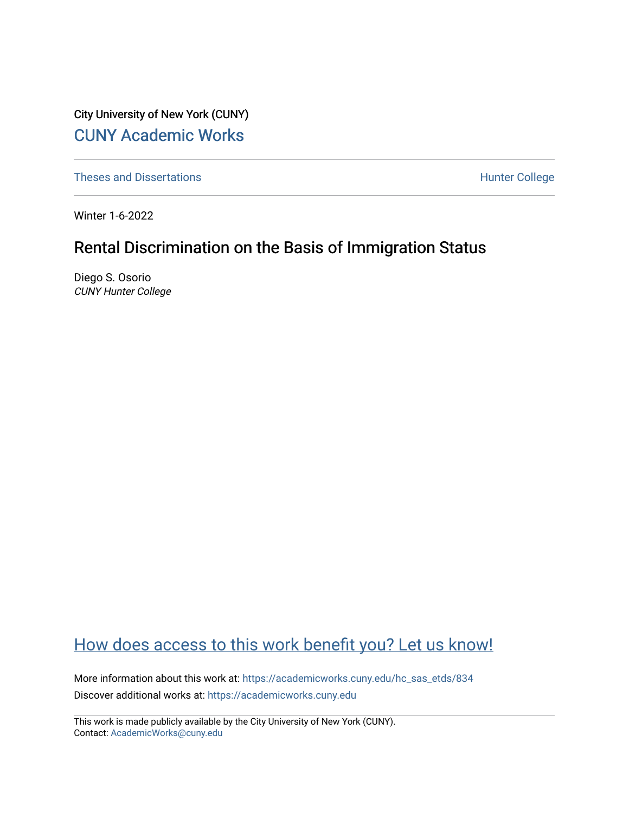City University of New York (CUNY) [CUNY Academic Works](https://academicworks.cuny.edu/) 

[Theses and Dissertations](https://academicworks.cuny.edu/hc_sas_etds) **Hunter College** 

Winter 1-6-2022

# Rental Discrimination on the Basis of Immigration Status

Diego S. Osorio CUNY Hunter College

# [How does access to this work benefit you? Let us know!](http://ols.cuny.edu/academicworks/?ref=https://academicworks.cuny.edu/hc_sas_etds/834)

More information about this work at: [https://academicworks.cuny.edu/hc\\_sas\\_etds/834](https://academicworks.cuny.edu/hc_sas_etds/834)  Discover additional works at: [https://academicworks.cuny.edu](https://academicworks.cuny.edu/?)

This work is made publicly available by the City University of New York (CUNY). Contact: [AcademicWorks@cuny.edu](mailto:AcademicWorks@cuny.edu)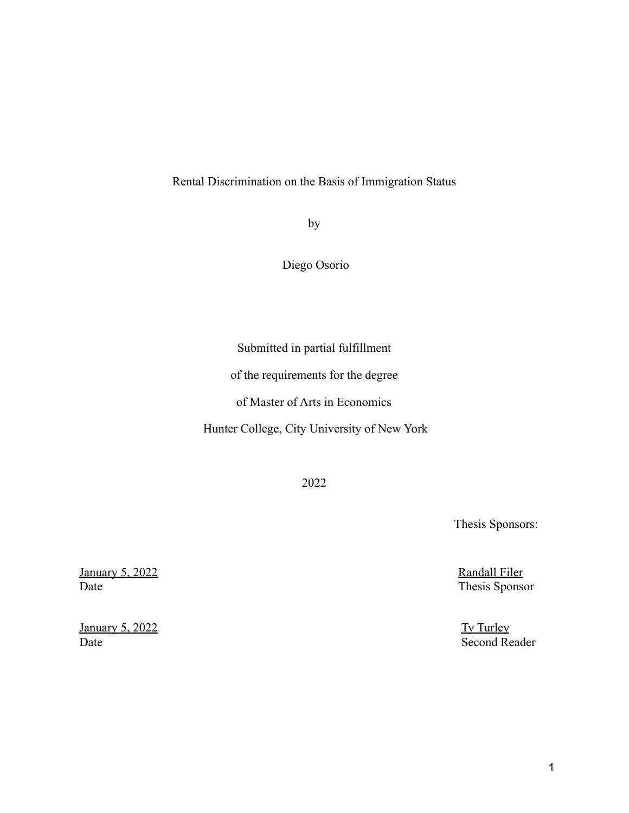### Rental Discrimination on the Basis of Immigration Status

by

Diego Osorio

Submitted in partial fulfillment

of the requirements for the degree

of Master of Arts in Economics

Hunter College, City University of New York

2022

Thesis Sponsors:

Randall Filer Thesis Sponsor

Ty Turley Second Reader

January 5, 2022 Date

January 5, 2022 Date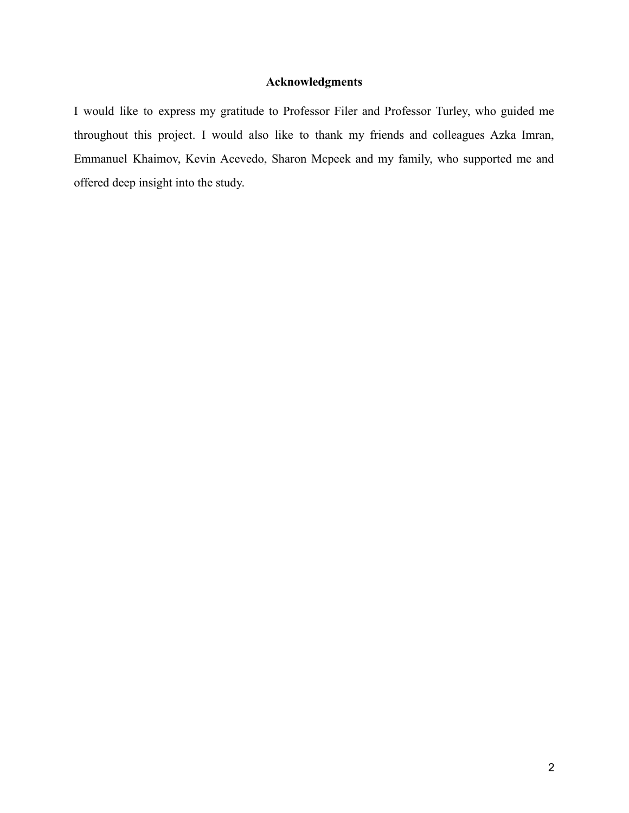## **Acknowledgments**

I would like to express my gratitude to Professor Filer and Professor Turley, who guided me throughout this project. I would also like to thank my friends and colleagues Azka Imran, Emmanuel Khaimov, Kevin Acevedo, Sharon Mcpeek and my family, who supported me and offered deep insight into the study.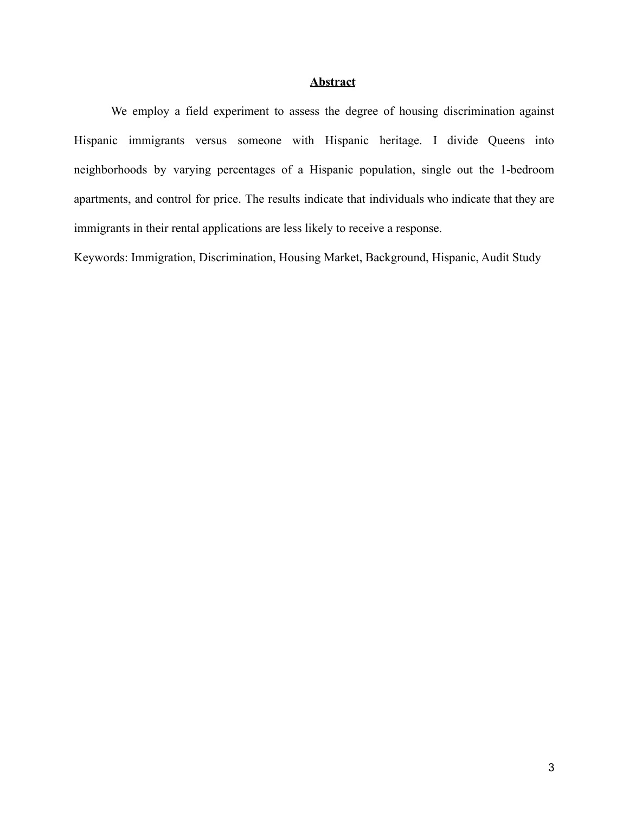### **Abstract**

We employ a field experiment to assess the degree of housing discrimination against Hispanic immigrants versus someone with Hispanic heritage. I divide Queens into neighborhoods by varying percentages of a Hispanic population, single out the 1-bedroom apartments, and control for price. The results indicate that individuals who indicate that they are immigrants in their rental applications are less likely to receive a response.

Keywords: Immigration, Discrimination, Housing Market, Background, Hispanic, Audit Study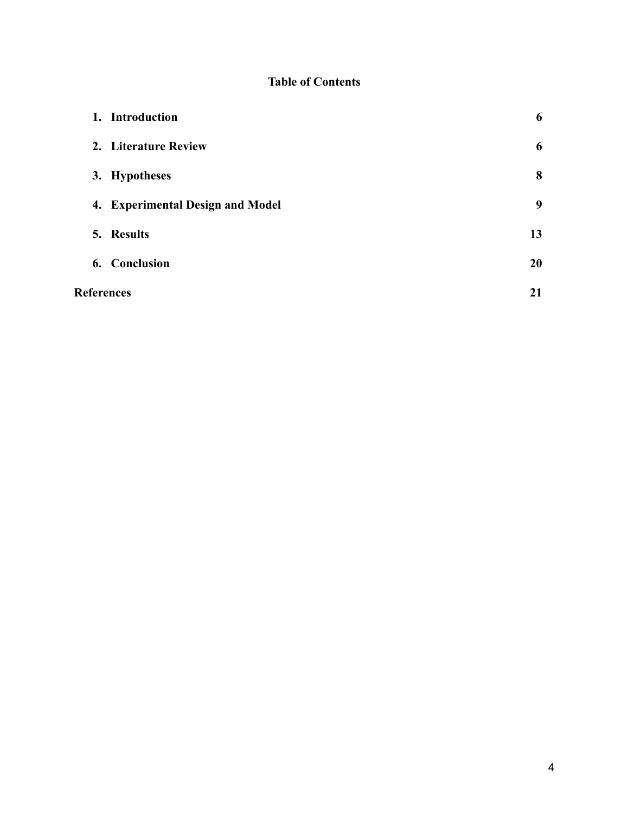# **Table of Contents**

|                   | 1. Introduction                  | 6  |
|-------------------|----------------------------------|----|
|                   | 2. Literature Review             | 6  |
|                   | 3. Hypotheses                    | 8  |
|                   | 4. Experimental Design and Model | 9  |
|                   | 5. Results                       | 13 |
|                   | 6. Conclusion                    | 20 |
| <b>References</b> |                                  | 21 |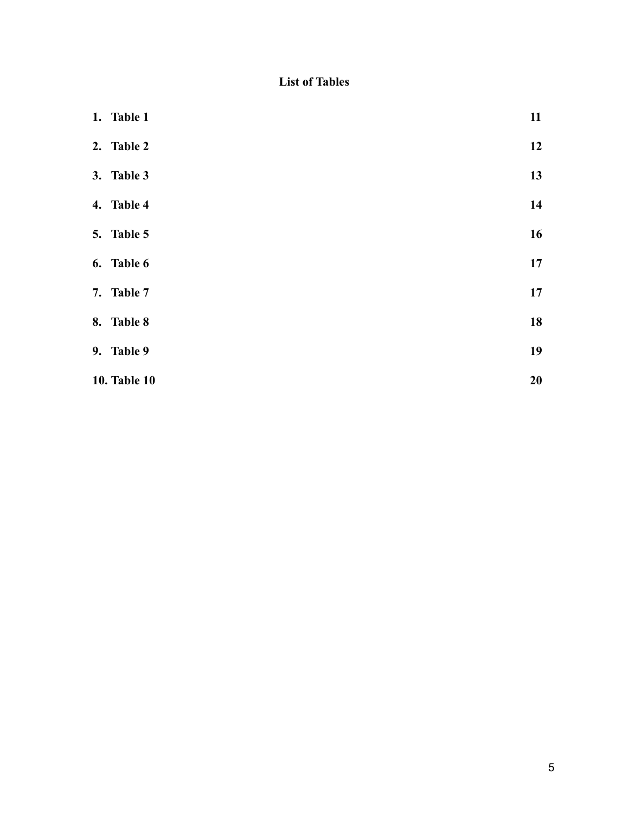# **List of Tables**

| 1. Table 1          | 11 |
|---------------------|----|
| 2. Table 2          | 12 |
| 3. Table 3          | 13 |
| 4. Table 4          | 14 |
| 5. Table 5          | 16 |
| 6. Table 6          | 17 |
| 7. Table 7          | 17 |
| 8. Table 8          | 18 |
| 9. Table 9          | 19 |
| <b>10. Table 10</b> | 20 |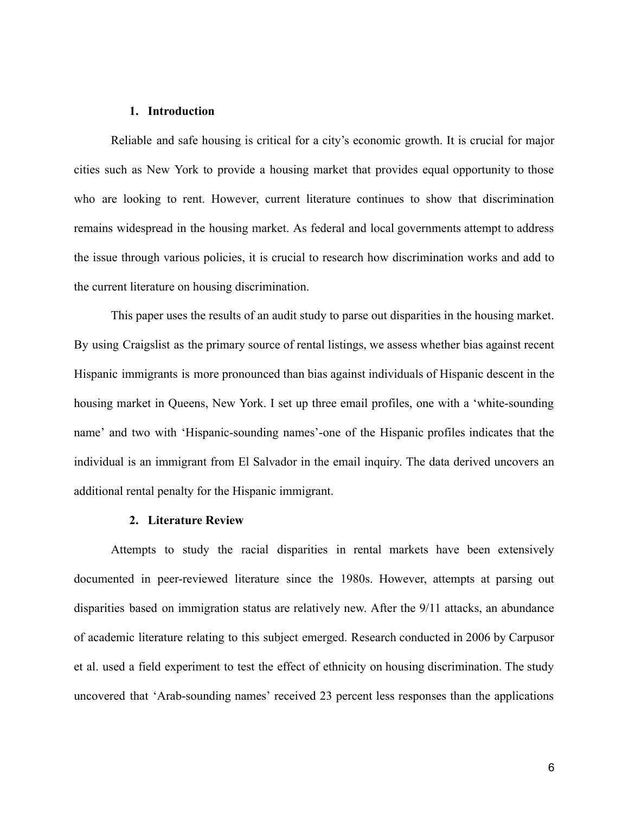#### **1. Introduction**

Reliable and safe housing is critical for a city's economic growth. It is crucial for major cities such as New York to provide a housing market that provides equal opportunity to those who are looking to rent. However, current literature continues to show that discrimination remains widespread in the housing market. As federal and local governments attempt to address the issue through various policies, it is crucial to research how discrimination works and add to the current literature on housing discrimination.

This paper uses the results of an audit study to parse out disparities in the housing market. By using Craigslist as the primary source of rental listings, we assess whether bias against recent Hispanic immigrants is more pronounced than bias against individuals of Hispanic descent in the housing market in Queens, New York. I set up three email profiles, one with a 'white-sounding name' and two with 'Hispanic-sounding names'-one of the Hispanic profiles indicates that the individual is an immigrant from El Salvador in the email inquiry. The data derived uncovers an additional rental penalty for the Hispanic immigrant.

#### **2. Literature Review**

Attempts to study the racial disparities in rental markets have been extensively documented in peer-reviewed literature since the 1980s. However, attempts at parsing out disparities based on immigration status are relatively new. After the 9/11 attacks, an abundance of academic literature relating to this subject emerged. Research conducted in 2006 by Carpusor et al. used a field experiment to test the effect of ethnicity on housing discrimination. The study uncovered that 'Arab-sounding names' received 23 percent less responses than the applications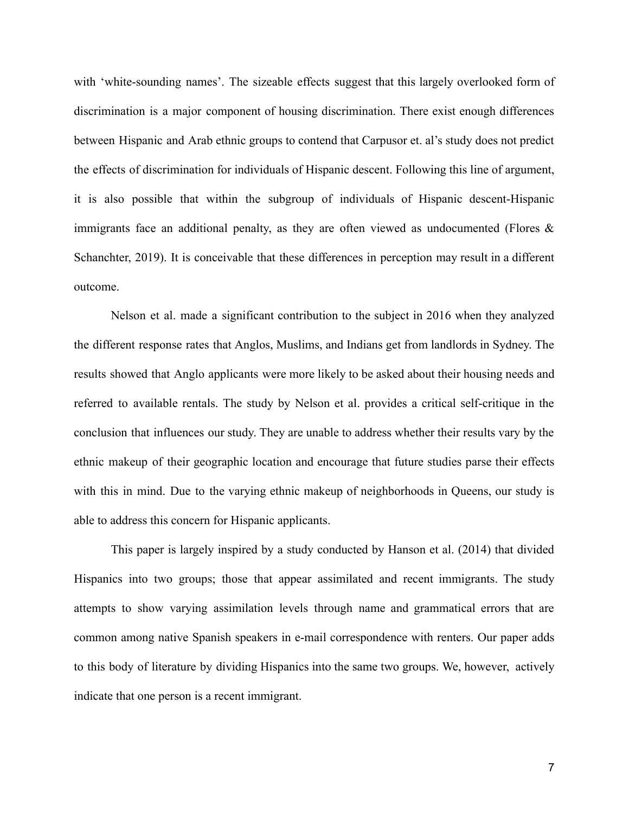with 'white-sounding names'. The sizeable effects suggest that this largely overlooked form of discrimination is a major component of housing discrimination. There exist enough differences between Hispanic and Arab ethnic groups to contend that Carpusor et. al's study does not predict the effects of discrimination for individuals of Hispanic descent. Following this line of argument, it is also possible that within the subgroup of individuals of Hispanic descent-Hispanic immigrants face an additional penalty, as they are often viewed as undocumented (Flores  $\&$ Schanchter, 2019). It is conceivable that these differences in perception may result in a different outcome.

Nelson et al. made a significant contribution to the subject in 2016 when they analyzed the different response rates that Anglos, Muslims, and Indians get from landlords in Sydney. The results showed that Anglo applicants were more likely to be asked about their housing needs and referred to available rentals. The study by Nelson et al. provides a critical self-critique in the conclusion that influences our study. They are unable to address whether their results vary by the ethnic makeup of their geographic location and encourage that future studies parse their effects with this in mind. Due to the varying ethnic makeup of neighborhoods in Queens, our study is able to address this concern for Hispanic applicants.

This paper is largely inspired by a study conducted by Hanson et al. (2014) that divided Hispanics into two groups; those that appear assimilated and recent immigrants. The study attempts to show varying assimilation levels through name and grammatical errors that are common among native Spanish speakers in e-mail correspondence with renters. Our paper adds to this body of literature by dividing Hispanics into the same two groups. We, however, actively indicate that one person is a recent immigrant.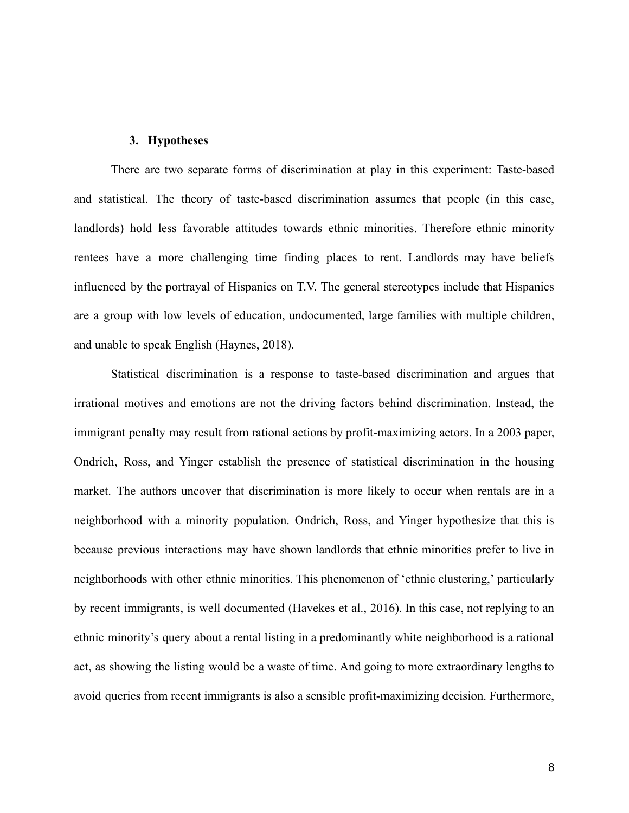#### **3. Hypotheses**

There are two separate forms of discrimination at play in this experiment: Taste-based and statistical. The theory of taste-based discrimination assumes that people (in this case, landlords) hold less favorable attitudes towards ethnic minorities. Therefore ethnic minority rentees have a more challenging time finding places to rent. Landlords may have beliefs influenced by the portrayal of Hispanics on T.V. The general stereotypes include that Hispanics are a group with low levels of education, undocumented, large families with multiple children, and unable to speak English (Haynes, 2018).

Statistical discrimination is a response to taste-based discrimination and argues that irrational motives and emotions are not the driving factors behind discrimination. Instead, the immigrant penalty may result from rational actions by profit-maximizing actors. In a 2003 paper, Ondrich, Ross, and Yinger establish the presence of statistical discrimination in the housing market. The authors uncover that discrimination is more likely to occur when rentals are in a neighborhood with a minority population. Ondrich, Ross, and Yinger hypothesize that this is because previous interactions may have shown landlords that ethnic minorities prefer to live in neighborhoods with other ethnic minorities. This phenomenon of 'ethnic clustering,' particularly by recent immigrants, is well documented (Havekes et al., 2016). In this case, not replying to an ethnic minority's query about a rental listing in a predominantly white neighborhood is a rational act, as showing the listing would be a waste of time. And going to more extraordinary lengths to avoid queries from recent immigrants is also a sensible profit-maximizing decision. Furthermore,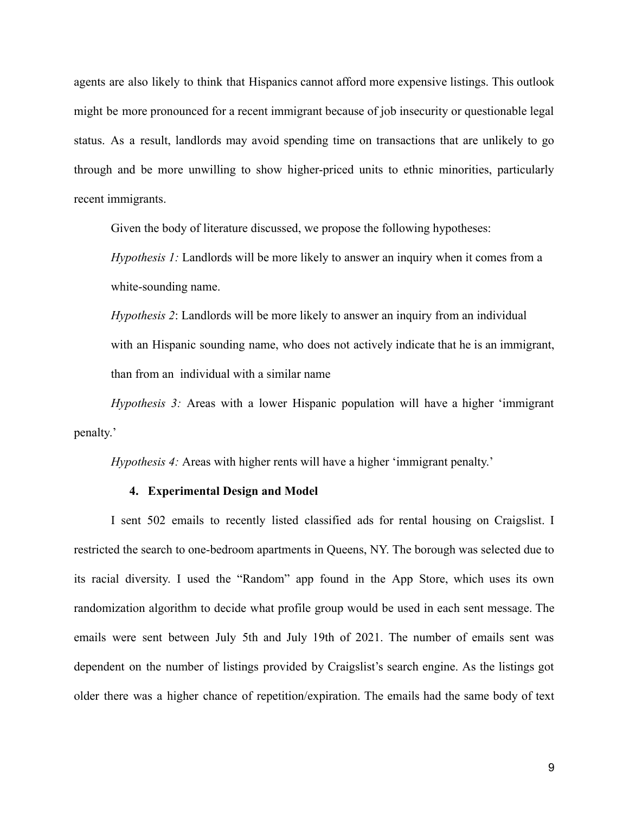agents are also likely to think that Hispanics cannot afford more expensive listings. This outlook might be more pronounced for a recent immigrant because of job insecurity or questionable legal status. As a result, landlords may avoid spending time on transactions that are unlikely to go through and be more unwilling to show higher-priced units to ethnic minorities, particularly recent immigrants.

Given the body of literature discussed, we propose the following hypotheses:

*Hypothesis 1:* Landlords will be more likely to answer an inquiry when it comes from a white-sounding name.

*Hypothesis 2*: Landlords will be more likely to answer an inquiry from an individual with an Hispanic sounding name, who does not actively indicate that he is an immigrant, than from an individual with a similar name

*Hypothesis 3:* Areas with a lower Hispanic population will have a higher 'immigrant penalty.'

*Hypothesis 4:* Areas with higher rents will have a higher 'immigrant penalty.'

#### **4. Experimental Design and Model**

I sent 502 emails to recently listed classified ads for rental housing on Craigslist. I restricted the search to one-bedroom apartments in Queens, NY. The borough was selected due to its racial diversity. I used the "Random" app found in the App Store, which uses its own randomization algorithm to decide what profile group would be used in each sent message. The emails were sent between July 5th and July 19th of 2021. The number of emails sent was dependent on the number of listings provided by Craigslist's search engine. As the listings got older there was a higher chance of repetition/expiration. The emails had the same body of text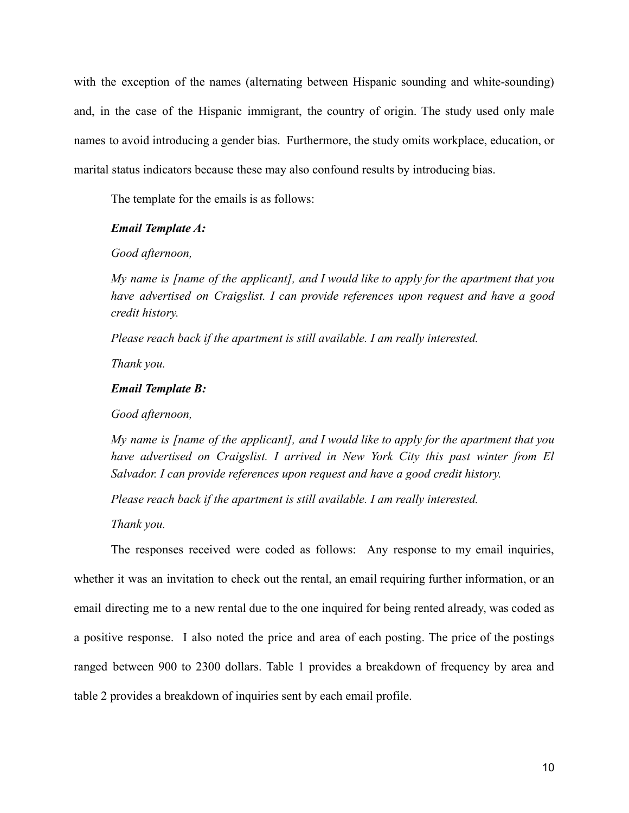with the exception of the names (alternating between Hispanic sounding and white-sounding) and, in the case of the Hispanic immigrant, the country of origin. The study used only male names to avoid introducing a gender bias. Furthermore, the study omits workplace, education, or marital status indicators because these may also confound results by introducing bias.

The template for the emails is as follows:

#### *Email Template A:*

#### *Good afternoon,*

*My name is [name of the applicant], and I would like to apply for the apartment that you have advertised on Craigslist. I can provide references upon request and have a good credit history.*

*Please reach back if the apartment is still available. I am really interested.*

*Thank you.*

#### *Email Template B:*

*Good afternoon,*

*My name is [name of the applicant], and I would like to apply for the apartment that you have advertised on Craigslist. I arrived in New York City this past winter from El Salvador. I can provide references upon request and have a good credit history.*

*Please reach back if the apartment is still available. I am really interested.*

*Thank you.*

The responses received were coded as follows: Any response to my email inquiries, whether it was an invitation to check out the rental, an email requiring further information, or an email directing me to a new rental due to the one inquired for being rented already, was coded as a positive response. I also noted the price and area of each posting. The price of the postings ranged between 900 to 2300 dollars. Table 1 provides a breakdown of frequency by area and table 2 provides a breakdown of inquiries sent by each email profile.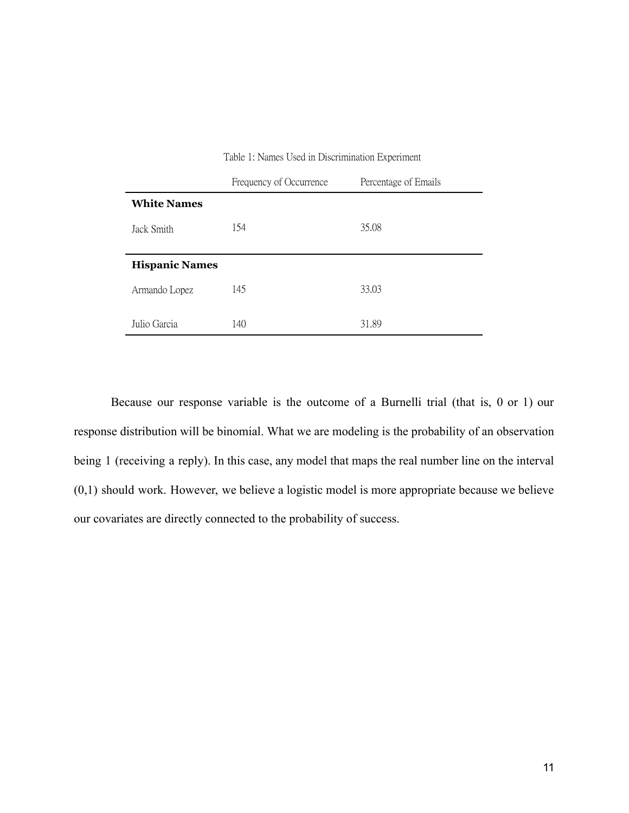|                       | Frequency of Occurrence | Percentage of Emails |
|-----------------------|-------------------------|----------------------|
| <b>White Names</b>    |                         |                      |
| Jack Smith            | 154                     | 35.08                |
| <b>Hispanic Names</b> |                         |                      |
| Armando Lopez         | 145                     | 33.03                |
| Julio Garcia          | 140                     | 31.89                |

Table 1: Names Used in Discrimination Experiment

Because our response variable is the outcome of a Burnelli trial (that is, 0 or 1) our response distribution will be binomial. What we are modeling is the probability of an observation being 1 (receiving a reply). In this case, any model that maps the real number line on the interval (0,1) should work. However, we believe a logistic model is more appropriate because we believe our covariates are directly connected to the probability of success.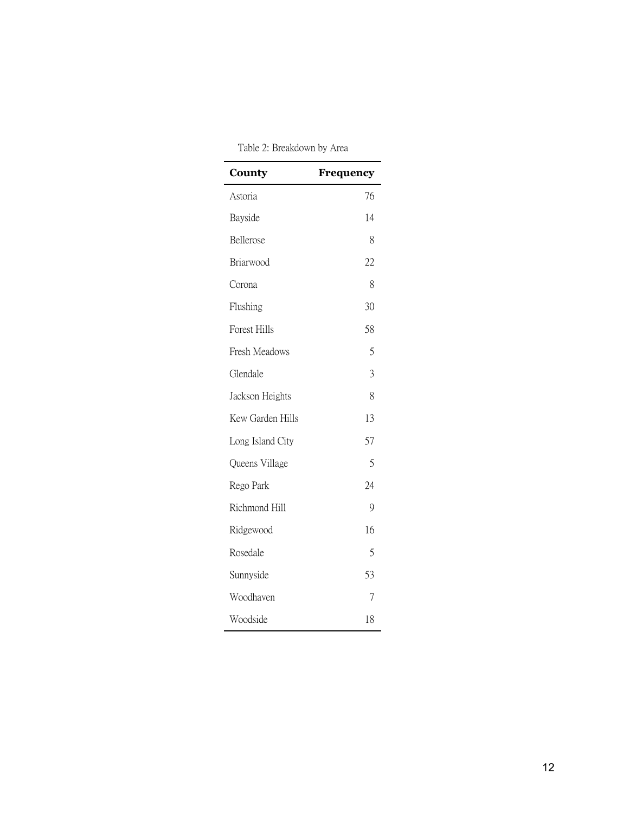| County              | Frequency |
|---------------------|-----------|
| Astoria             | 76        |
| Bayside             | 14        |
| Bellerose           | 8         |
| Briarwood           | 22        |
| Corona              | 8         |
| Flushing            | 30        |
| <b>Forest Hills</b> | 58        |
| Fresh Meadows       | 5         |
| Glendale            | 3         |
| Jackson Heights     | 8         |
| Kew Garden Hills    | 13        |
| Long Island City    | 57        |
| Queens Village      | 5         |
| Rego Park           | 24        |
| Richmond Hill       | 9         |
| Ridgewood           | 16        |
| Rosedale            | 5         |
| Sunnyside           | 53        |
| Woodhaven           | 7         |
| Woodside            | 18        |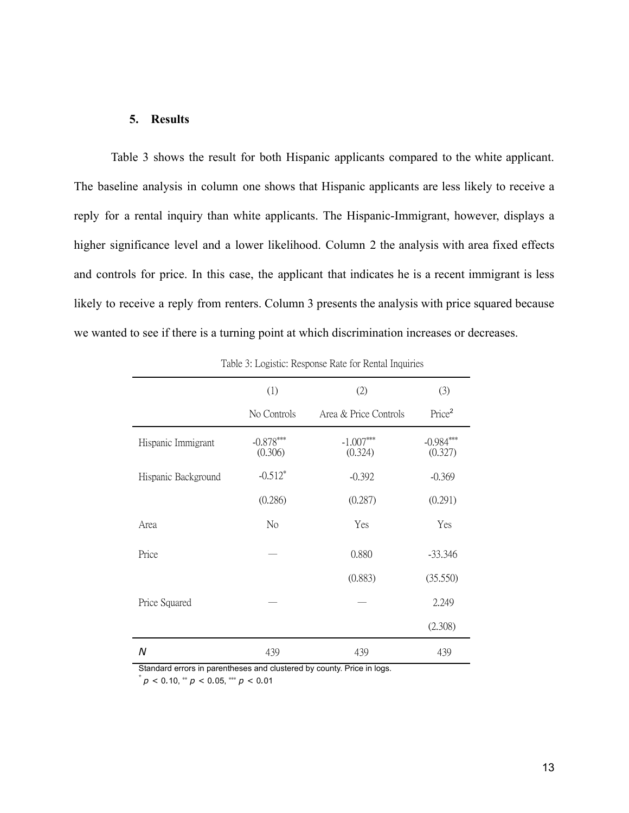#### **5. Results**

Table 3 shows the result for both Hispanic applicants compared to the white applicant. The baseline analysis in column one shows that Hispanic applicants are less likely to receive a reply for a rental inquiry than white applicants. The Hispanic-Immigrant, however, displays a higher significance level and a lower likelihood. Column 2 the analysis with area fixed effects and controls for price. In this case, the applicant that indicates he is a recent immigrant is less likely to receive a reply from renters. Column 3 presents the analysis with price squared because we wanted to see if there is a turning point at which discrimination increases or decreases.

|                     | (1)                    | (2)                    | (3)                    |
|---------------------|------------------------|------------------------|------------------------|
|                     | No Controls            | Area & Price Controls  | Price <sup>2</sup>     |
| Hispanic Immigrant  | $-0.878***$<br>(0.306) | $-1.007***$<br>(0.324) | $-0.984***$<br>(0.327) |
| Hispanic Background | $-0.512*$              | $-0.392$               | $-0.369$               |
|                     | (0.286)                | (0.287)                | (0.291)                |
| Area                | No                     | Yes                    | Yes                    |
| Price               |                        | 0.880                  | $-33.346$              |
|                     |                        | (0.883)                | (35.550)               |
| Price Squared       |                        |                        | 2.249                  |
|                     |                        |                        | (2.308)                |
| N                   | 439                    | 439                    | 439                    |

Table 3: Logistic: Response Rate for Rental Inquiries

Standard errors in parentheses and clustered by county. Price in logs.

 $p^*$  *p* < 0.10,  $\binom{*}{p}$  < 0.05,  $\binom{**}{p}$  < 0.01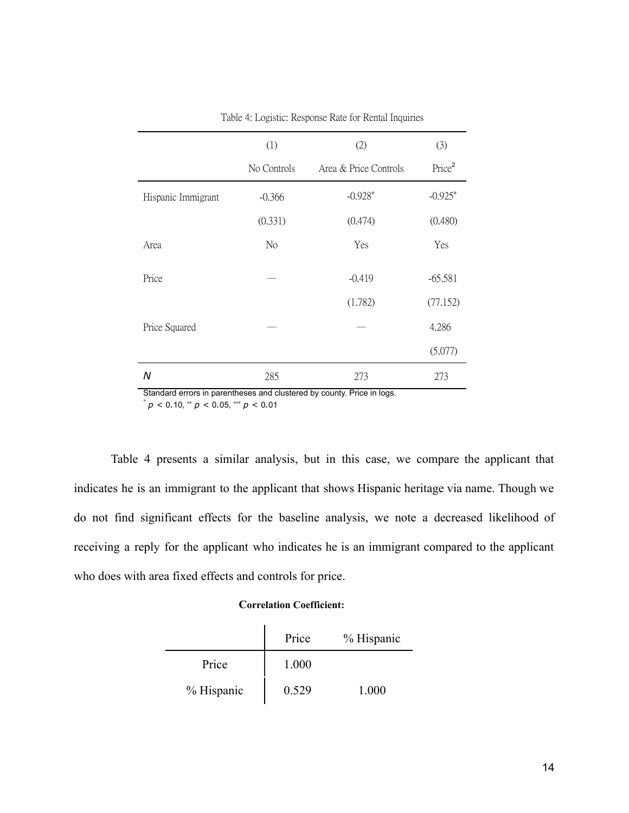|                    | (1)         | (2)                   | (3)                |
|--------------------|-------------|-----------------------|--------------------|
|                    | No Controls | Area & Price Controls | Price <sup>2</sup> |
| Hispanic Immigrant | $-0.366$    | $-0.928*$             | $-0.925*$          |
|                    | (0.331)     | (0.474)               | (0.480)            |
| Area               | No          | Yes                   | Yes                |
| Price              |             | $-0.419$              | $-65.581$          |
|                    |             | (1.782)               | (77.152)           |
| Price Squared      |             |                       | 4.286              |
|                    |             |                       | (5.077)            |
| Ν                  | 285         | 273                   | 273                |

Table 4: Logistic: Response Rate for Rental Inquiries

Standard errors in parentheses and clustered by county. Price in logs.

 $p^*$  *p* < 0.10,  $\binom{*}{p}$  < 0.05,  $\binom{**}{p}$  < 0.01

Table 4 presents a similar analysis, but in this case, we compare the applicant that indicates he is an immigrant to the applicant that shows Hispanic heritage via name. Though we do not find significant effects for the baseline analysis, we note a decreased likelihood of receiving a reply for the applicant who indicates he is an immigrant compared to the applicant who does with area fixed effects and controls for price.

#### **Correlation Coefficient:**

 $\mathbf{r}$ 

|            | Price | % Hispanic |
|------------|-------|------------|
| Price      | 1.000 |            |
| % Hispanic | 0.529 | 1.000      |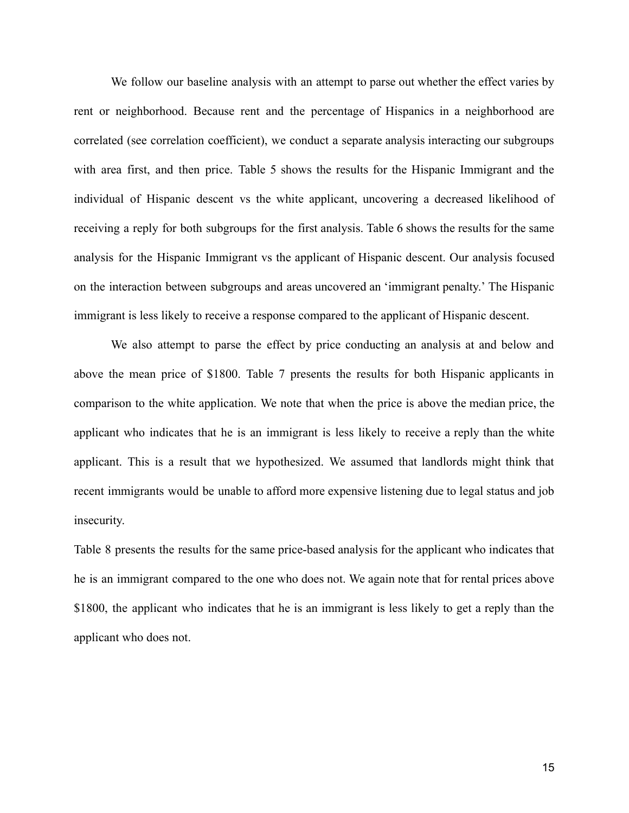We follow our baseline analysis with an attempt to parse out whether the effect varies by rent or neighborhood. Because rent and the percentage of Hispanics in a neighborhood are correlated (see correlation coefficient), we conduct a separate analysis interacting our subgroups with area first, and then price. Table 5 shows the results for the Hispanic Immigrant and the individual of Hispanic descent vs the white applicant, uncovering a decreased likelihood of receiving a reply for both subgroups for the first analysis. Table 6 shows the results for the same analysis for the Hispanic Immigrant vs the applicant of Hispanic descent. Our analysis focused on the interaction between subgroups and areas uncovered an 'immigrant penalty.' The Hispanic immigrant is less likely to receive a response compared to the applicant of Hispanic descent.

We also attempt to parse the effect by price conducting an analysis at and below and above the mean price of \$1800. Table 7 presents the results for both Hispanic applicants in comparison to the white application. We note that when the price is above the median price, the applicant who indicates that he is an immigrant is less likely to receive a reply than the white applicant. This is a result that we hypothesized. We assumed that landlords might think that recent immigrants would be unable to afford more expensive listening due to legal status and job insecurity.

Table 8 presents the results for the same price-based analysis for the applicant who indicates that he is an immigrant compared to the one who does not. We again note that for rental prices above \$1800, the applicant who indicates that he is an immigrant is less likely to get a reply than the applicant who does not.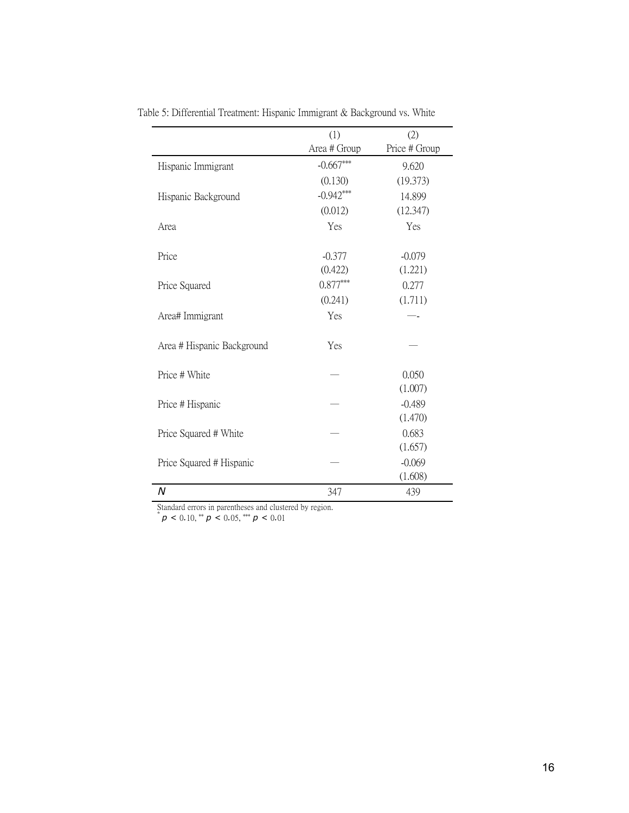|                            | (1)          | (2)           |
|----------------------------|--------------|---------------|
|                            | Area # Group | Price # Group |
| Hispanic Immigrant         | $-0.667***$  | 9.620         |
|                            | (0.130)      | (19.373)      |
| Hispanic Background        | $-0.942***$  | 14.899        |
|                            | (0.012)      | (12.347)      |
| Area                       | Yes          | Yes           |
|                            |              |               |
| Price                      | $-0.377$     | $-0.079$      |
|                            | (0.422)      | (1.221)       |
| Price Squared              | $0.877***$   | 0.277         |
|                            | (0.241)      | (1.711)       |
| Area# Immigrant            | Yes          |               |
|                            |              |               |
| Area # Hispanic Background | Yes          |               |
|                            |              |               |
| Price # White              |              | 0.050         |
|                            |              | (1.007)       |
| Price # Hispanic           |              | $-0.489$      |
|                            |              | (1.470)       |
| Price Squared # White      |              | 0.683         |
|                            |              | (1.657)       |
| Price Squared # Hispanic   |              | $-0.069$      |
|                            |              | (1.608)       |
| N                          | 347          | 439           |

Table 5: Differential Treatment: Hispanic Immigrant & Background vs. White

Standard errors in parentheses and clustered by region.

 $p^* p < 0.10, \cdot^* p < 0.05, \cdot^* p < 0.01$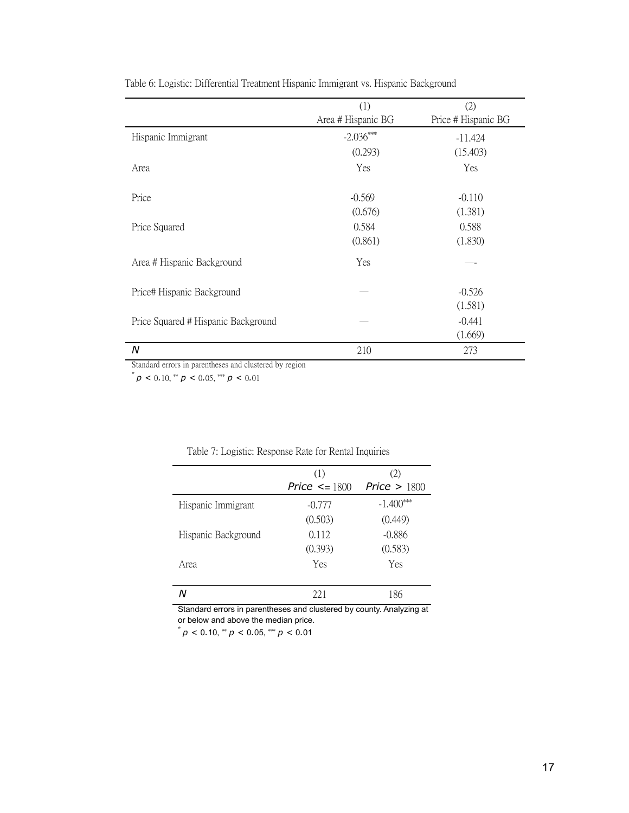|                                     | (1)                | (2)                 |
|-------------------------------------|--------------------|---------------------|
|                                     | Area # Hispanic BG | Price # Hispanic BG |
| Hispanic Immigrant                  | $-2.036***$        | $-11.424$           |
|                                     | (0.293)            | (15.403)            |
| Area                                | Yes                | Yes                 |
| Price                               | $-0.569$           | $-0.110$            |
|                                     | (0.676)            | (1.381)             |
| Price Squared                       | 0.584              | 0.588               |
|                                     | (0.861)            | (1.830)             |
| Area # Hispanic Background          | Yes                |                     |
| Price# Hispanic Background          |                    | $-0.526$            |
|                                     |                    | (1.581)             |
| Price Squared # Hispanic Background |                    | $-0.441$            |
|                                     |                    | (1.669)             |
| N                                   | 210                | 273                 |

Table 6: Logistic: Differential Treatment Hispanic Immigrant vs. Hispanic Background

Standard errors in parentheses and clustered by region

 $p^*$  *p* < 0.10, \*\* *p* < 0.05, \*\*\* *p* < 0.01

|                     | (1)                 | (2)            |
|---------------------|---------------------|----------------|
|                     | Price $\leq$ = 1800 | Price $> 1800$ |
| Hispanic Immigrant  | $-0.777$            | $-1.400***$    |
|                     | (0.503)             | (0.449)        |
| Hispanic Background | 0.112               | $-0.886$       |
|                     | (0.393)             | (0.583)        |
| Area                | Yes                 | Yes            |
|                     |                     |                |
|                     | 22.1                | 186            |

#### Table 7: Logistic: Response Rate for Rental Inquiries

Standard errors in parentheses and clustered by county. Analyzing at or below and above the median price.

 $p^*$  *p* < 0.10,  $\binom{*}{p}$  < 0.05,  $\binom{**}{p}$  < 0.01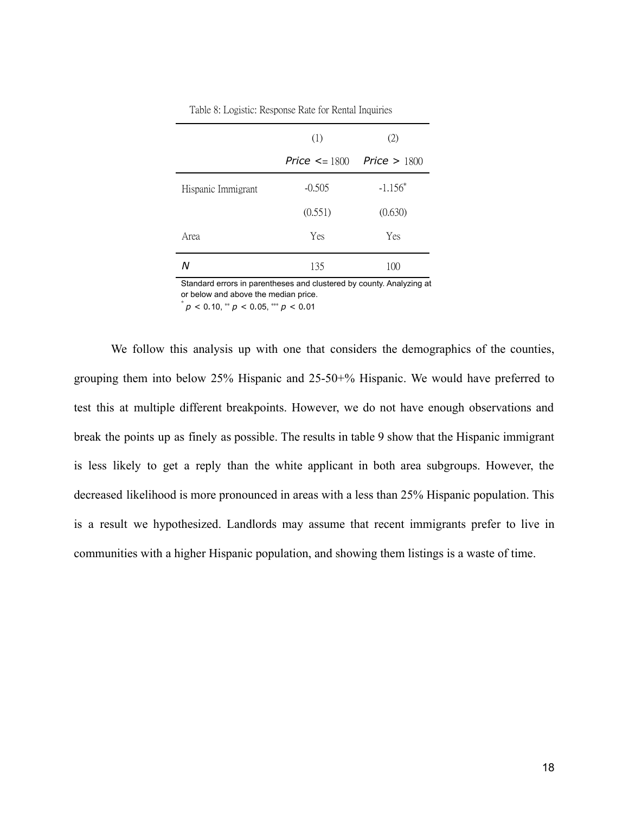|                    | (1)                 | (2)            |
|--------------------|---------------------|----------------|
|                    | Price $\leq$ = 1800 | Price $> 1800$ |
| Hispanic Immigrant | $-0.505$            | $-1.156*$      |
|                    | (0.551)             | (0.630)        |
| Area               | Yes                 | Yes            |
|                    | 135                 | 100            |

Table 8: Logistic: Response Rate for Rental Inquiries

Standard errors in parentheses and clustered by county. Analyzing at or below and above the median price.  $p^*$  *p* < 0.10,  $\binom{*}{p}$  < 0.05,  $\binom{**}{p}$  < 0.01

We follow this analysis up with one that considers the demographics of the counties, grouping them into below 25% Hispanic and 25-50+% Hispanic. We would have preferred to test this at multiple different breakpoints. However, we do not have enough observations and break the points up as finely as possible. The results in table 9 show that the Hispanic immigrant is less likely to get a reply than the white applicant in both area subgroups. However, the decreased likelihood is more pronounced in areas with a less than 25% Hispanic population. This is a result we hypothesized. Landlords may assume that recent immigrants prefer to live in communities with a higher Hispanic population, and showing them listings is a waste of time.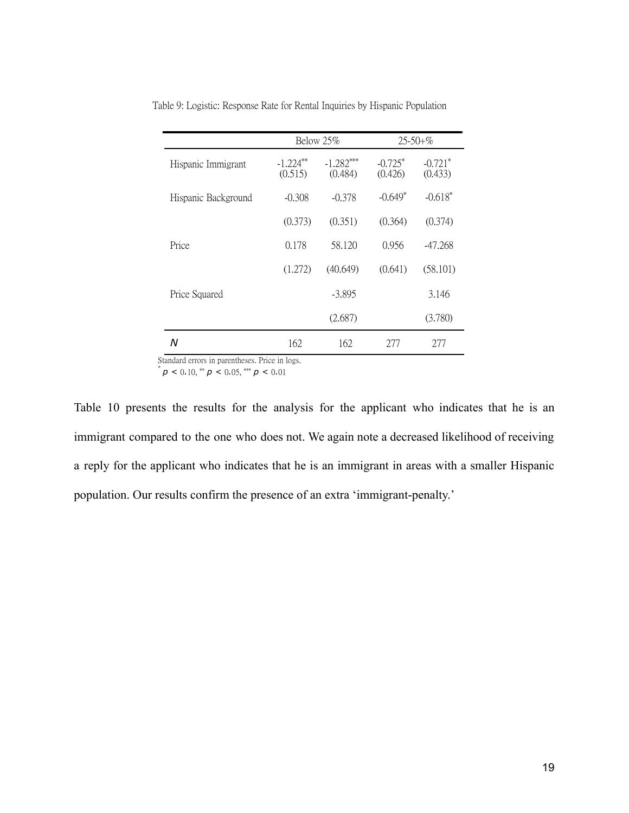|                     | Below 25%              |                        | $25 - 50 + \%$       |                                  |
|---------------------|------------------------|------------------------|----------------------|----------------------------------|
| Hispanic Immigrant  | $-1.224***$<br>(0.515) | $-1.282***$<br>(0.484) | $-0.725*$<br>(0.426) | $-0.721$ <sup>*</sup><br>(0.433) |
| Hispanic Background | $-0.308$               | $-0.378$               | $-0.649*$            | $-0.618*$                        |
|                     | (0.373)                | (0.351)                | (0.364)              | (0.374)                          |
| Price               | 0.178                  | 58.120                 | 0.956                | -47.268                          |
|                     | (1.272)                | (40.649)               | (0.641)              | (58.101)                         |
| Price Squared       |                        | $-3.895$               |                      | 3.146                            |
|                     |                        | (2.687)                |                      | (3.780)                          |
| Ν                   | 162                    | 162                    | 277                  | 277                              |

Table 9: Logistic: Response Rate for Rental Inquiries by Hispanic Population

Standard errors in parentheses. Price in logs.

 $p^*$  *p* < 0.10, \*\* *p* < 0.05, \*\*\* *p* < 0.01

Table 10 presents the results for the analysis for the applicant who indicates that he is an immigrant compared to the one who does not. We again note a decreased likelihood of receiving a reply for the applicant who indicates that he is an immigrant in areas with a smaller Hispanic population. Our results confirm the presence of an extra 'immigrant-penalty.'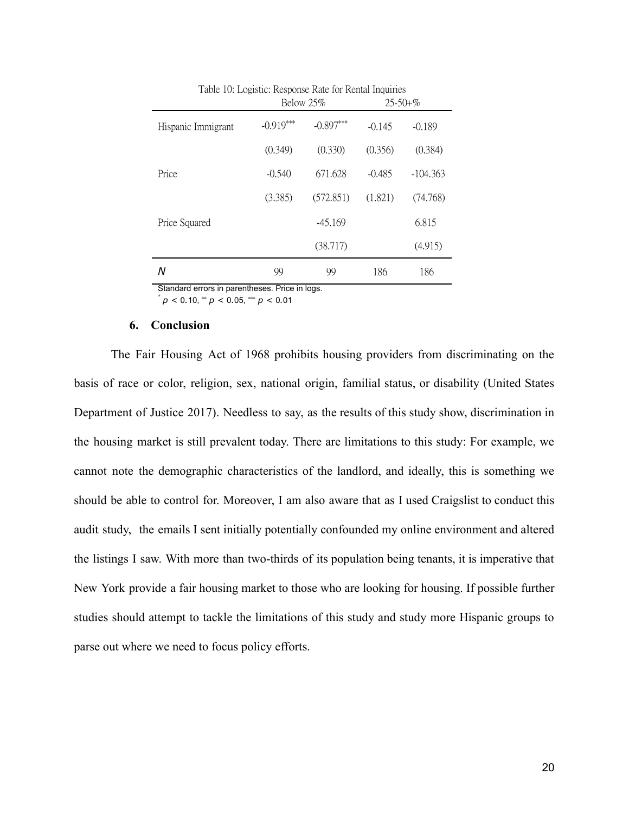|                                                | Below 25%   |             | $25 - 50 + \%$ |            |  |  |
|------------------------------------------------|-------------|-------------|----------------|------------|--|--|
| Hispanic Immigrant                             | $-0.919***$ | $-0.897***$ | $-0.145$       | $-0.189$   |  |  |
|                                                | (0.349)     | (0.330)     | (0.356)        | (0.384)    |  |  |
| Price                                          | $-0.540$    | 671.628     | $-0.485$       | $-104.363$ |  |  |
|                                                | (3.385)     | (572.851)   | (1.821)        | (74.768)   |  |  |
| Price Squared                                  |             | $-45.169$   |                | 6.815      |  |  |
|                                                |             | (38.717)    |                | (4.915)    |  |  |
| Ν                                              | 99          | 99          | 186            | 186        |  |  |
| Standard errors in parentheses. Price in logs. |             |             |                |            |  |  |

Table 10: Logistic: Response Rate for Rental Inquiries

 $p^*$  *p* < 0.10,  $\binom{*}{p}$  < 0.05,  $\binom{**}{p}$  < 0.01

#### **6. Conclusion**

The Fair Housing Act of 1968 prohibits housing providers from discriminating on the basis of race or color, religion, sex, national origin, familial status, or disability (United States Department of Justice 2017). Needless to say, as the results of this study show, discrimination in the housing market is still prevalent today. There are limitations to this study: For example, we cannot note the demographic characteristics of the landlord, and ideally, this is something we should be able to control for. Moreover, I am also aware that as I used Craigslist to conduct this audit study, the emails I sent initially potentially confounded my online environment and altered the listings I saw. With more than two-thirds of its population being tenants, it is imperative that New York provide a fair housing market to those who are looking for housing. If possible further studies should attempt to tackle the limitations of this study and study more Hispanic groups to parse out where we need to focus policy efforts.